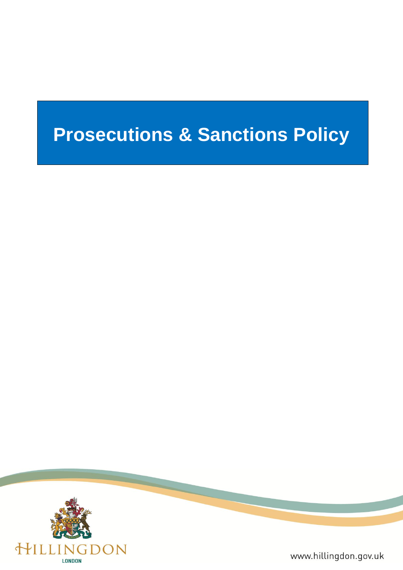# **Prosecutions & Sanctions Policy**



www.hillingdon.gov.uk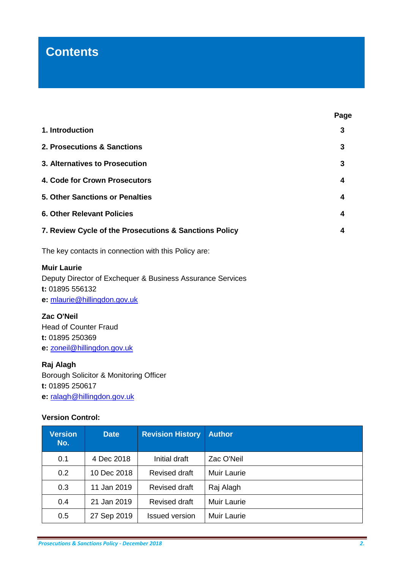# **Contents**

| 1. Introduction                                        | 3 |  |  |
|--------------------------------------------------------|---|--|--|
| 2. Prosecutions & Sanctions                            | 3 |  |  |
| 3. Alternatives to Prosecution                         | 3 |  |  |
| 4. Code for Crown Prosecutors                          | 4 |  |  |
| 5. Other Sanctions or Penalties                        | 4 |  |  |
| <b>6. Other Relevant Policies</b>                      |   |  |  |
| 7. Review Cycle of the Prosecutions & Sanctions Policy |   |  |  |
| The key contacts in connection with this Policy are:   |   |  |  |

**Muir Laurie**

Deputy Director of Exchequer & Business Assurance Services **t:** 01895 556132 **e:** [mlaurie@hillingdon.gov.uk](mailto:mlaurie@hillingdon.gov.uk)

# **Zac O'Neil**

Head of Counter Fraud **t:** 01895 250369 **e:** [zoneil@hillingdon.gov.uk](mailto:zoneil@hillingdon.gov.uk)

# **Raj Alagh**

Borough Solicitor & Monitoring Officer **t:** 01895 250617 **e:** [ralagh@hillingdon.gov.uk](mailto:ralagh@hillingdon.gov.uk)

# **Version Control:**

| <b>Version</b><br>No. | <b>Date</b> | <b>Revision History</b> | <b>Author</b> |
|-----------------------|-------------|-------------------------|---------------|
| 0.1                   | 4 Dec 2018  | Initial draft           | Zac O'Neil    |
| 0.2                   | 10 Dec 2018 | <b>Revised draft</b>    | Muir Laurie   |
| 0.3                   | 11 Jan 2019 | <b>Revised draft</b>    | Raj Alagh     |
| 0.4                   | 21 Jan 2019 | <b>Revised draft</b>    | Muir Laurie   |
| 0.5                   | 27 Sep 2019 | <b>Issued version</b>   | Muir Laurie   |

**Page**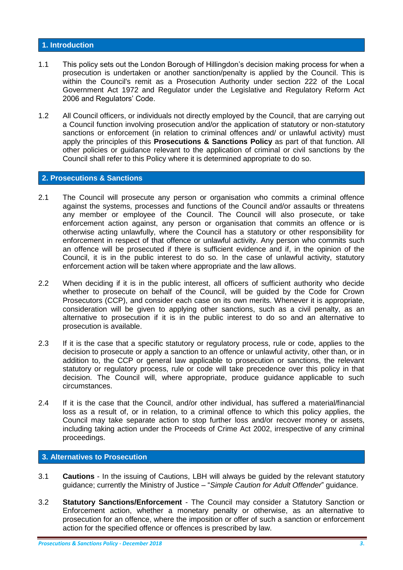#### **1. Introduction**

- 1.1 This policy sets out the London Borough of Hillingdon's decision making process for when a prosecution is undertaken or another sanction/penalty is applied by the Council. This is within the Council's remit as a Prosecution Authority under section 222 of the Local Government Act 1972 and Regulator under the Legislative and Regulatory Reform Act 2006 and Regulators' Code.
- 1.2 All Council officers, or individuals not directly employed by the Council, that are carrying out a Council function involving prosecution and/or the application of statutory or non-statutory sanctions or enforcement (in relation to criminal offences and/ or unlawful activity) must apply the principles of this **Prosecutions & Sanctions Policy** as part of that function. All other policies or guidance relevant to the application of criminal or civil sanctions by the Council shall refer to this Policy where it is determined appropriate to do so.

#### **2. Prosecutions & Sanctions**

- 2.1 The Council will prosecute any person or organisation who commits a criminal offence against the systems, processes and functions of the Council and/or assaults or threatens any member or employee of the Council. The Council will also prosecute, or take enforcement action against, any person or organisation that commits an offence or is otherwise acting unlawfully, where the Council has a statutory or other responsibility for enforcement in respect of that offence or unlawful activity. Any person who commits such an offence will be prosecuted if there is sufficient evidence and if, in the opinion of the Council, it is in the public interest to do so. In the case of unlawful activity, statutory enforcement action will be taken where appropriate and the law allows.
- 2.2 When deciding if it is in the public interest, all officers of sufficient authority who decide whether to prosecute on behalf of the Council, will be guided by the Code for Crown Prosecutors (CCP), and consider each case on its own merits. Whenever it is appropriate, consideration will be given to applying other sanctions, such as a civil penalty, as an alternative to prosecution if it is in the public interest to do so and an alternative to prosecution is available.
- 2.3 If it is the case that a specific statutory or regulatory process, rule or code, applies to the decision to prosecute or apply a sanction to an offence or unlawful activity, other than, or in addition to, the CCP or general law applicable to prosecution or sanctions, the relevant statutory or regulatory process, rule or code will take precedence over this policy in that decision. The Council will, where appropriate, produce guidance applicable to such circumstances.
- 2.4 If it is the case that the Council, and/or other individual, has suffered a material/financial loss as a result of, or in relation, to a criminal offence to which this policy applies, the Council may take separate action to stop further loss and/or recover money or assets, including taking action under the Proceeds of Crime Act 2002, irrespective of any criminal proceedings.

# **3. Alternatives to Prosecution**

- 3.1 **Cautions** In the issuing of Cautions, LBH will always be guided by the relevant statutory guidance; currently the Ministry of Justice – "*Simple Caution for Adult Offender*" guidance.
- 3.2 **Statutory Sanctions/Enforcement** The Council may consider a Statutory Sanction or Enforcement action, whether a monetary penalty or otherwise, as an alternative to prosecution for an offence, where the imposition or offer of such a sanction or enforcement action for the specified offence or offences is prescribed by law.